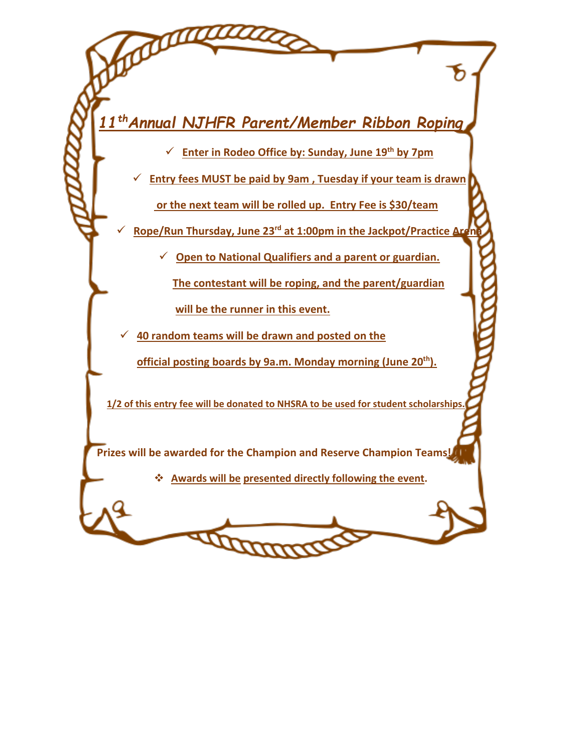*11 thAnnual NJHFR Parent/Member Ribbon Roping*

✓ **Enter in Rodeo Office by: Sunday, June 19th by 7pm**

✓ **Entry fees MUST be paid by 9am , Tuesday if your team is drawn**

**or the next team will be rolled up. Entry Fee is \$30/team**

**Rope/Run Thursday, June 23<sup>rd</sup> at 1:00pm in the Jackpot/Practice Are** 

✓ **Open to National Qualifiers and a parent or guardian.** 

 **The contestant will be roping, and the parent/guardian** 

 **will be the runner in this event.** 

✓ **40 random teams will be drawn and posted on the** 

**official posting boards by 9a.m. Monday morning (June 20th).** 

 **1/2 of this entry fee will be donated to NHSRA to be used for student scholarships.** 

 **Prizes will be awarded for the Champion and Reserve Champion Teams!** 

**Thomas** 

❖ **Awards will be presented directly following the event.**